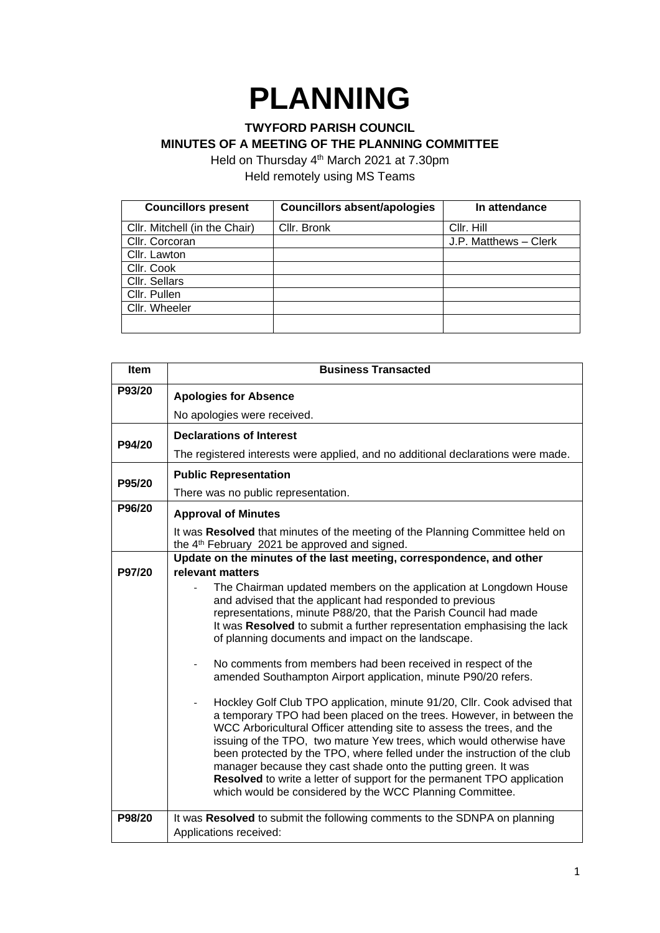## **PLANNING**

## **TWYFORD PARISH COUNCIL MINUTES OF A MEETING OF THE PLANNING COMMITTEE**

Held on Thursday 4<sup>th</sup> March 2021 at 7.30pm Held remotely using MS Teams

| <b>Councillors present</b>    | <b>Councillors absent/apologies</b> | In attendance         |
|-------------------------------|-------------------------------------|-----------------------|
| Cllr. Mitchell (in the Chair) | Cllr. Bronk                         | Cllr. Hill            |
| Cllr. Corcoran                |                                     | J.P. Matthews - Clerk |
| Cllr. Lawton                  |                                     |                       |
| Cllr. Cook                    |                                     |                       |
| Cllr. Sellars                 |                                     |                       |
| Cllr. Pullen                  |                                     |                       |
| Cllr. Wheeler                 |                                     |                       |
|                               |                                     |                       |

| Item   | <b>Business Transacted</b>                                                                                                                                                                                                                                                                                                                                                                                                                                                                                                                       |  |  |
|--------|--------------------------------------------------------------------------------------------------------------------------------------------------------------------------------------------------------------------------------------------------------------------------------------------------------------------------------------------------------------------------------------------------------------------------------------------------------------------------------------------------------------------------------------------------|--|--|
| P93/20 | <b>Apologies for Absence</b>                                                                                                                                                                                                                                                                                                                                                                                                                                                                                                                     |  |  |
|        | No apologies were received.                                                                                                                                                                                                                                                                                                                                                                                                                                                                                                                      |  |  |
| P94/20 | <b>Declarations of Interest</b>                                                                                                                                                                                                                                                                                                                                                                                                                                                                                                                  |  |  |
|        | The registered interests were applied, and no additional declarations were made.                                                                                                                                                                                                                                                                                                                                                                                                                                                                 |  |  |
| P95/20 | <b>Public Representation</b>                                                                                                                                                                                                                                                                                                                                                                                                                                                                                                                     |  |  |
|        | There was no public representation.                                                                                                                                                                                                                                                                                                                                                                                                                                                                                                              |  |  |
| P96/20 | <b>Approval of Minutes</b>                                                                                                                                                                                                                                                                                                                                                                                                                                                                                                                       |  |  |
|        | It was Resolved that minutes of the meeting of the Planning Committee held on<br>the 4 <sup>th</sup> February 2021 be approved and signed.                                                                                                                                                                                                                                                                                                                                                                                                       |  |  |
| P97/20 | Update on the minutes of the last meeting, correspondence, and other<br>relevant matters                                                                                                                                                                                                                                                                                                                                                                                                                                                         |  |  |
|        | The Chairman updated members on the application at Longdown House<br>and advised that the applicant had responded to previous<br>representations, minute P88/20, that the Parish Council had made<br>It was Resolved to submit a further representation emphasising the lack<br>of planning documents and impact on the landscape.<br>No comments from members had been received in respect of the<br>amended Southampton Airport application, minute P90/20 refers.<br>Hockley Golf Club TPO application, minute 91/20, Cllr. Cook advised that |  |  |
|        | a temporary TPO had been placed on the trees. However, in between the<br>WCC Arboricultural Officer attending site to assess the trees, and the<br>issuing of the TPO, two mature Yew trees, which would otherwise have<br>been protected by the TPO, where felled under the instruction of the club<br>manager because they cast shade onto the putting green. It was<br>Resolved to write a letter of support for the permanent TPO application<br>which would be considered by the WCC Planning Committee.                                    |  |  |
| P98/20 | It was Resolved to submit the following comments to the SDNPA on planning<br>Applications received:                                                                                                                                                                                                                                                                                                                                                                                                                                              |  |  |